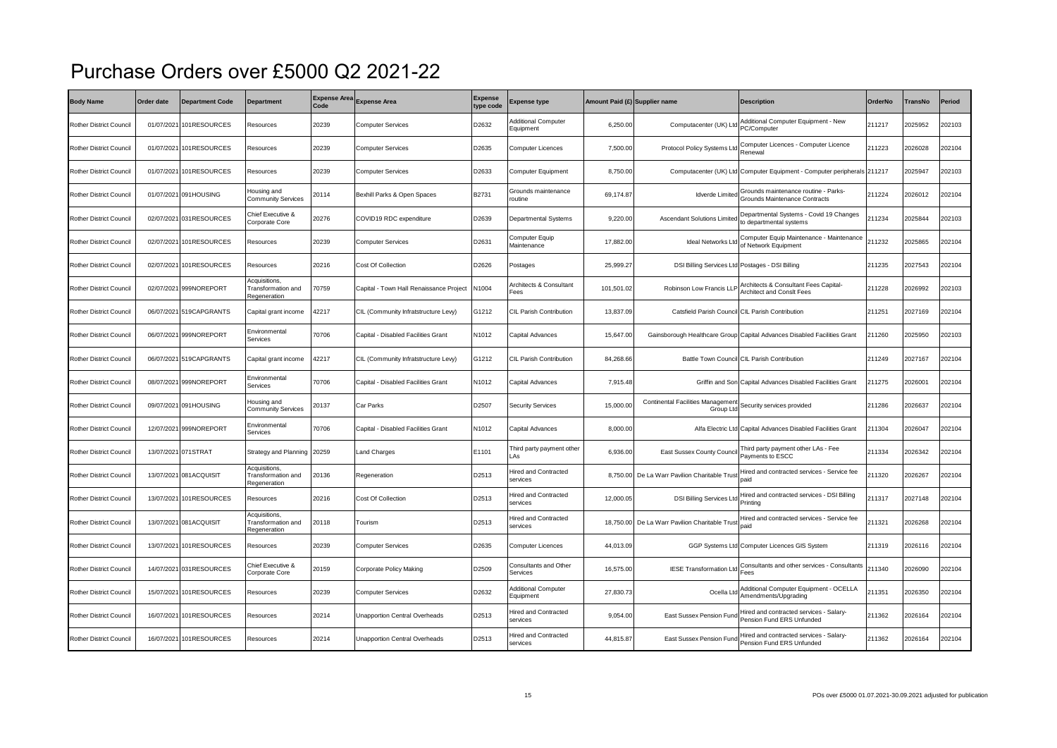## Purchase Orders over £5000 Q2 2021-22

| <b>Body Name</b>               | Order date | <b>Department Code</b>  | <b>Department</b>                                   | <b>Expense Area</b><br>Code | <b>Expense Area</b>                     | <b>Expense</b><br>type code | Expense tvpe                               | Amount Paid (£) Supplier name |                                                 | <b>Description</b>                                                           | OrderNo | <b>TransNo</b> | Period |
|--------------------------------|------------|-------------------------|-----------------------------------------------------|-----------------------------|-----------------------------------------|-----------------------------|--------------------------------------------|-------------------------------|-------------------------------------------------|------------------------------------------------------------------------------|---------|----------------|--------|
| Rother District Council        |            | 01/07/2021 101RESOURCES | Resources                                           | 20239                       | Computer Services                       | D2632                       | Additional Computer<br>Equipment           | 6,250.00                      | Computacenter (UK) Ltd                          | Additional Computer Equipment - New<br><sup>2</sup> C/Computer               | 211217  | 025952         | 202103 |
| <b>Rother District Council</b> |            | 01/07/2021 101RESOURCES | Resources                                           | 20239                       | <b>Computer Services</b>                | D2635                       | <b>Computer Licences</b>                   | 7,500.00                      | Protocol Policy Systems Lt                      | Computer Licences - Computer Licence<br>Renewal                              | 211223  | 2026028        | 202104 |
| Rother District Council        |            | 01/07/2021 101RESOURCES | Resources                                           | 20239                       | <b>Computer Services</b>                | D2633                       | Computer Equipment                         | 8,750.00                      |                                                 | Computacenter (UK) Ltd Computer Equipment - Computer peripherals 211217      |         | 2025947        | 202103 |
| Rother District Council        |            | 01/07/2021 091HOUSING   | Housing and<br>Community Services                   | 20114                       | Bexhill Parks & Open Spaces             | B2731                       | Grounds maintenance<br>routine             | 69,174.87                     | <b>Idverde Limited</b>                          | Grounds maintenance routine - Parks-<br><b>Grounds Maintenance Contracts</b> | 211224  | 026012         | 202104 |
| Rother District Council        |            | 02/07/2021 031RESOURCES | Chief Executive &<br>Corporate Core                 | 20276                       | COVID19 RDC expenditure                 | D2639                       | Departmental Systems                       | 9,220.00                      | Ascendant Solutions Limited                     | Departmental Systems - Covid 19 Changes<br>o departmental systems            | 211234  | 2025844        | 202103 |
| Rother District Council        |            | 02/07/2021 101RESOURCES | Resources                                           | 20239                       | Computer Services                       | D2631                       | Computer Equip<br>Maintenance              | 17,882.00                     | Ideal Networks Ltd                              | Computer Equip Maintenance - Maintenance<br>of Network Equipment             | 211232  | 025865         | 202104 |
| <b>Rother District Council</b> |            | 02/07/2021 101RESOURCES | Resources                                           | 20216                       | Cost Of Collection                      | D2626                       | Postages                                   | 25,999.27                     | DSI Billing Services Ltd Postages - DSI Billing |                                                                              | 211235  | 2027543        | 202104 |
| <b>Rother District Council</b> | 02/07/2021 | 999NOREPORT             | Acquisitions,<br>Fransformation and<br>Regeneration | 70759                       | Capital - Town Hall Renaissance Project | N1004                       | <b>Architects &amp; Consultant</b><br>Fees | 101,501.02                    | Robinson Low Francis LLF                        | Architects & Consultant Fees Capital-<br>Architect and Conslt Fees           | 211228  | 2026992        | 202103 |
| <b>Rother District Council</b> |            | 06/07/2021 519CAPGRANTS | Capital grant income                                | 42217                       | CIL (Community Infratstructure Levy)    | G1212                       | CIL Parish Contribution                    | 13,837.09                     |                                                 | Catsfield Parish Council CIL Parish Contribution                             | 211251  | 2027169        | 202104 |
| Rother District Council        |            | 06/07/2021 999NOREPORT  | Environmental<br>Services                           | 70706                       | Capital - Disabled Facilities Grant     | N1012                       | Capital Advances                           | 15,647.00                     |                                                 | Gainsborough Healthcare Group Capital Advances Disabled Facilities Grant     | 211260  | 2025950        | 202103 |
| <b>Rother District Council</b> |            | 06/07/2021 519CAPGRANTS | Capital grant income                                | 42217                       | CIL (Community Infratstructure Levy)    | G1212                       | CIL Parish Contribution                    | 84,268.66                     |                                                 | Battle Town Council CIL Parish Contribution                                  | 211249  | 2027167        | 202104 |
| <b>Rother District Council</b> |            | 08/07/2021 999NOREPORT  | Environmental<br>Services                           | 70706                       | Capital - Disabled Facilities Grant     | N1012                       | Capital Advances                           | 7,915.48                      | Griffin and Son                                 | Capital Advances Disabled Facilities Grant                                   | 211275  | 2026001        | 202104 |
| <b>Rother District Council</b> |            | 09/07/2021 091HOUSING   | Housing and<br>Community Services                   | 20137                       | Car Parks                               | D2507                       | <b>Security Services</b>                   | 15,000.00                     | Continental Facilities Managemen<br>Group Ltd   | Security services provided                                                   | 211286  | 026637         | 202104 |
| <b>Rother District Council</b> |            | 12/07/2021 999NOREPORT  | Environmental<br>Services                           | 70706                       | Capital - Disabled Facilities Grant     | N1012                       | Capital Advances                           | 8.000.00                      |                                                 | Alfa Electric Ltd Capital Advances Disabled Facilities Grant                 | 211304  | 2026047        | 202104 |
| Rother District Council        |            | 13/07/2021 071STRAT     | Strategy and Planning                               | 20259                       | Land Charges                            | E1101                       | Third party payment other<br>LAs           | 6,936.00                      | East Sussex County Counci                       | Third party payment other LAs - Fee<br>Payments to ESCC                      | 211334  | 026342         | 202104 |
| <b>Rother District Council</b> |            | 13/07/2021 081ACQUISIT  | Acquisitions,<br>Transformation and<br>Regeneration | 20136                       | Regeneration                            | D2513                       | Hired and Contracted<br>services           | 8.750.00                      | De La Warr Pavilion Charitable Trus             | Hired and contracted services - Service fee<br>biec                          | 211320  | 2026267        | 202104 |
| <b>Rother District Council</b> |            | 13/07/2021 101RESOURCES | Resources                                           | 20216                       | Cost Of Collection                      | D2513                       | Hired and Contracted<br>services           | 12,000.05                     | <b>DSI Billing Services Lt</b>                  | Hired and contracted services - DSI Billing<br>Printing                      | 211317  | 2027148        | 202104 |
| <b>Rother District Council</b> |            | 13/07/2021 081ACQUISIT  | Acquisitions,<br>Transformation and<br>Regeneration | 20118                       | Tourism                                 | D2513                       | Hired and Contracted<br>services           | 18,750.00                     | De La Warr Pavilion Charitable Trust            | Hired and contracted services - Service fee<br>paid                          | 211321  | 2026268        | 202104 |
| Rother District Council        |            | 13/07/2021 101RESOURCES | Resources                                           | 20239                       | <b>Computer Services</b>                | D2635                       | <b>Computer Licences</b>                   | 44,013.09                     |                                                 | GGP Systems Ltd Computer Licences GIS System                                 | 211319  | 2026116        | 202104 |
| Rother District Council        |            | 14/07/2021 031RESOURCES | Chief Executive &<br>Corporate Core                 | 20159                       | Corporate Policy Making                 | D2509                       | Consultants and Other<br>Services          | 16,575.00                     | <b>IESE Transformation Lt</b>                   | Consultants and other services - Consultants<br>Fees                         | 211340  | 026090         | 202104 |
| <b>Rother District Council</b> |            | 15/07/2021 101RESOURCES | Resources                                           | 20239                       | <b>Computer Services</b>                | D2632                       | <b>Additional Computer</b><br>Equipment    | 27,830.73                     | Ocella Lt                                       | Additional Computer Equipment - OCELLA<br>Amendments/Upgrading               | 211351  | 2026350        | 202104 |
| Rother District Council        |            | 16/07/2021 101RESOURCES | Resources                                           | 20214                       | Unapportion Central Overheads           | D2513                       | Hired and Contracted<br>services           | 9,054.00                      | East Sussex Pension Fun                         | lired and contracted services - Salary-<br>Pension Fund ERS Unfunded         | 211362  | 2026164        | 202104 |
| <b>Rother District Council</b> |            | 16/07/2021 101RESOURCES | Resources                                           | 20214                       | <b>Unapportion Central Overheads</b>    | D2513                       | Hired and Contracted<br>services           | 44,815.87                     | East Sussex Pension Fund                        | lired and contracted services - Salary-<br>Pension Fund ERS Unfunded         | 211362  | 2026164        | 202104 |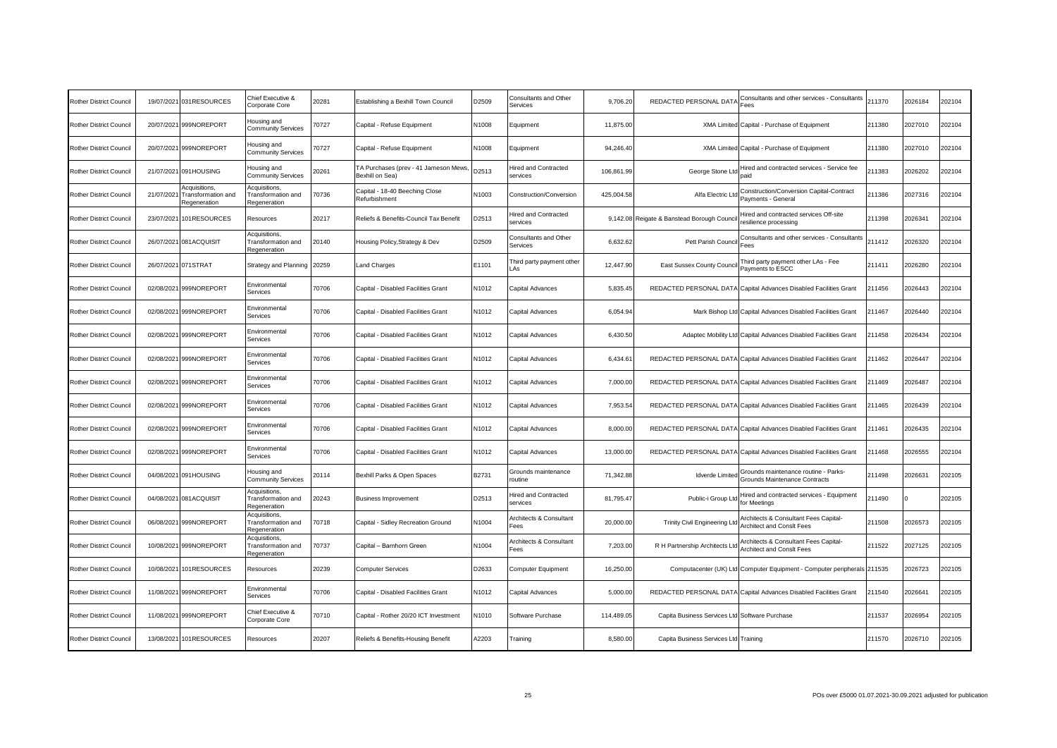| Rother District Council        | 19/07/2021 | 031RESOURCES                                        | Chief Executive &<br>Corporate Core                        | 20281 | Establishing a Bexhill Town Council                      | D2509 | <b>Consultants and Other</b><br>Services   | 9,706.20   | REDACTED PERSONAL DAT                          | Consultants and other services - Consultants<br>Fees                    | 211370 | 2026184 | 202104 |
|--------------------------------|------------|-----------------------------------------------------|------------------------------------------------------------|-------|----------------------------------------------------------|-------|--------------------------------------------|------------|------------------------------------------------|-------------------------------------------------------------------------|--------|---------|--------|
| Rother District Council        | 20/07/2021 | 999NOREPORT                                         | lousing and<br>Community Services                          | 0727  | Capital - Refuse Equipment                               | N1008 | Equipment                                  | 11,875.00  |                                                | XMA Limited Capital - Purchase of Equipment                             | 211380 | 2027010 | 202104 |
| Rother District Council        | 20/07/2021 | 999NOREPORT                                         | Housing and<br><b>Community Services</b>                   | 0727  | Capital - Refuse Equipment                               | N1008 | Equipment                                  | 94,246.40  |                                                | XMA Limited Capital - Purchase of Equipment                             | 211380 | 2027010 | 202104 |
| Rother District Council        | 21/07/2021 | 091HOUSING                                          | Housing and<br>Community Services                          | 20261 | TA Purchases (prev - 41 Jameson Mews,<br>Bexhill on Sea) | D2513 | Hired and Contracted<br>services           | 106,861.99 | George Stone Ltd                               | Hired and contracted services - Service fee<br>naid                     | 211383 | 2026202 | 202104 |
| Rother District Council        | 21/07/202  | Acquisitions,<br>Transformation and<br>Regeneration | Acquisitions.<br><b>Transformation and</b><br>Regeneration | 0736  | Capital - 18-40 Beeching Close<br>Refurbishment          | N1003 | Construction/Conversion                    | 425,004.58 | Alfa Electric Lt                               | Construction/Conversion Capital-Contract<br>Payments - General          | 211386 | 2027316 | 202104 |
| Rother District Council        | 23/07/2021 | 101RESOURCES                                        | Resources                                                  | 20217 | Reliefs & Benefits-Council Tax Benefit                   | D2513 | Hired and Contracted<br>services           |            | 9,142.08 Reigate & Banstead Borough Counci     | Hired and contracted services Off-site<br>esilience processing          | 211398 | 1026341 | 202104 |
| Rother District Council        | 26/07/2021 | 081ACQUISIT                                         | Acquisitions.<br>ransformation and<br>Regeneration         | 20140 | Housing Policy, Strategy & Dev                           | D2509 | <b>Consultants and Other</b><br>Services   | 6.632.62   | Pett Parish Counci                             | Consultants and other services - Consultants<br>Fees                    | 211412 | 2026320 | 202104 |
| Rother District Council        | 26/07/202  | 071STRAT                                            | Strategy and Planning                                      | 20259 | <b>Land Charges</b>                                      | E1101 | Third party payment other<br>LAs           | 12,447.90  | East Sussex County Counci                      | Third party payment other LAs - Fee<br>Payments to ESCC                 | 211411 | 2026280 | 202104 |
| <b>Rother District Council</b> | 02/08/2021 | 999NOREPORT                                         | Environmental<br>Services                                  | 70706 | Capital - Disabled Facilities Grant                      | N1012 | Capital Advances                           | 5,835.45   |                                                | REDACTED PERSONAL DATA Capital Advances Disabled Facilities Grant       | 211456 | 2026443 | 202104 |
| Rother District Council        | 02/08/2021 | 999NOREPORT                                         | Environmental<br>Services                                  | 70706 | Capital - Disabled Facilities Grant                      | N1012 | Capital Advances                           | 6,054.94   |                                                | Mark Bishop Ltd Capital Advances Disabled Facilities Grant              | 211467 | 2026440 | 202104 |
| Rother District Council        | 02/08/2021 | 999NOREPORT                                         | Environmental<br>Services                                  | 0706  | Capital - Disabled Facilities Grant                      | N1012 | Capital Advances                           | 6,430.50   |                                                | Adaptec Mobility Ltd Capital Advances Disabled Facilities Grant         | 211458 | 2026434 | 202104 |
| Rother District Council        | 02/08/2021 | 999NOREPORT                                         | Environmental<br>Services                                  | 0706  | Capital - Disabled Facilities Grant                      | N1012 | Capital Advances                           | 6,434.61   |                                                | REDACTED PERSONAL DATA Capital Advances Disabled Facilities Grant       | 211462 | 2026447 | 202104 |
| Rother District Council        | 02/08/2021 | 999NOREPORT                                         | Environmental<br>Services                                  | 0706  | Capital - Disabled Facilities Grant                      | N1012 | Capital Advances                           | 7,000.00   |                                                | REDACTED PERSONAL DATA Capital Advances Disabled Facilities Grant       | 211469 | 2026487 | 202104 |
| Rother District Council        | 02/08/2021 | 999NOREPORT                                         | Environmental<br>Services                                  | 0706  | Capital - Disabled Facilities Grant                      | N1012 | Capital Advances                           | 7,953.54   |                                                | REDACTED PERSONAL DATA Capital Advances Disabled Facilities Grant       | 211465 | 2026439 | 202104 |
| Rother District Council        | 02/08/202  | 999NOREPORT                                         | Environmental<br>Services                                  | 0706  | Capital - Disabled Facilities Grant                      | N1012 | Capital Advances                           | 8,000.00   |                                                | REDACTED PERSONAL DATA Capital Advances Disabled Facilities Grant       | 211461 | 2026435 | 202104 |
| Rother District Council        | 02/08/2021 | 999NOREPORT                                         | Environmental<br>Services                                  | 0706  | Capital - Disabled Facilities Grant                      | N1012 | Capital Advances                           | 13,000.00  |                                                | REDACTED PERSONAL DATA Capital Advances Disabled Facilities Grant       | 211468 | 2026555 | 202104 |
| Rother District Council        | 04/08/202  | 091HOUSING                                          | Housing and<br><b>Community Services</b>                   | 20114 | Bexhill Parks & Open Spaces                              | B2731 | Grounds maintenance<br>routine             | 71,342.88  | Idverde Limited                                | Grounds maintenance routine - Parks-<br>Grounds Maintenance Contracts   | 211498 | 2026631 | 202105 |
| Rother District Council        | 04/08/2021 | 081ACQUISIT                                         | Acquisitions,<br>Transformation and<br>Regeneration        | 20243 | <b>Business Improvement</b>                              | D2513 | Hired and Contracted<br>services           | 81,795.47  | Public-i Group Ltd                             | Hired and contracted services - Equipment<br>for Meetings               | 211490 |         | 202105 |
| Rother District Council        | 06/08/202  | 999NOREPORT                                         | Acquisitions,<br>Transformation and<br>Regeneration        | 70718 | Capital - Sidley Recreation Ground                       | N1004 | <b>Architects &amp; Consultant</b><br>Fees | 20,000.00  | <b>Trinity Civil Engineering Lt</b>            | Architects & Consultant Fees Capital-<br>Architect and Consit Fees      | 211508 | 2026573 | 202105 |
| Rother District Council        | 10/08/2021 | 999NOREPORT                                         | Acquisitions.<br><b>Transformation</b> and<br>Regeneration | 0737  | Capital - Barnhorn Green                                 | N1004 | Architects & Consultant<br>ees             | 7,203.00   | R H Partnership Architects Lt                  | Architects & Consultant Fees Capital-<br>Architect and Consit Fees      | 211522 | 2027125 | 202105 |
| Rother District Council        | 10/08/2021 | 101RESOURCES                                        | Resources                                                  | 20239 | <b>Computer Services</b>                                 | D2633 | Computer Equipment                         | 16,250.00  |                                                | Computacenter (UK) Ltd Computer Equipment - Computer peripherals 211535 |        | 2026723 | 202105 |
| Rother District Council        | 11/08/2021 | 999NOREPORT                                         | Environmental<br>Services                                  | 0706  | Capital - Disabled Facilities Grant                      | N1012 | Capital Advances                           | 5,000.00   |                                                | REDACTED PERSONAL DATA Capital Advances Disabled Facilities Grant       | 211540 | 2026641 | 202105 |
| Rother District Council        | 11/08/2021 | 999NOREPORT                                         | Chief Executive &<br>Corporate Core                        | 0710  | Capital - Rother 20/20 ICT Investment                    | N1010 | Software Purchase                          | 114,489.05 | Capita Business Services Ltd Software Purchase |                                                                         | 211537 | 026954  | 202105 |
| Rother District Council        | 13/08/2021 | 101RESOURCES                                        | Resources                                                  | 20207 | Reliefs & Benefits-Housing Benefit                       | A2203 | Training                                   | 8,580.00   | Capita Business Services Ltd Training          |                                                                         | 211570 | 2026710 | 202105 |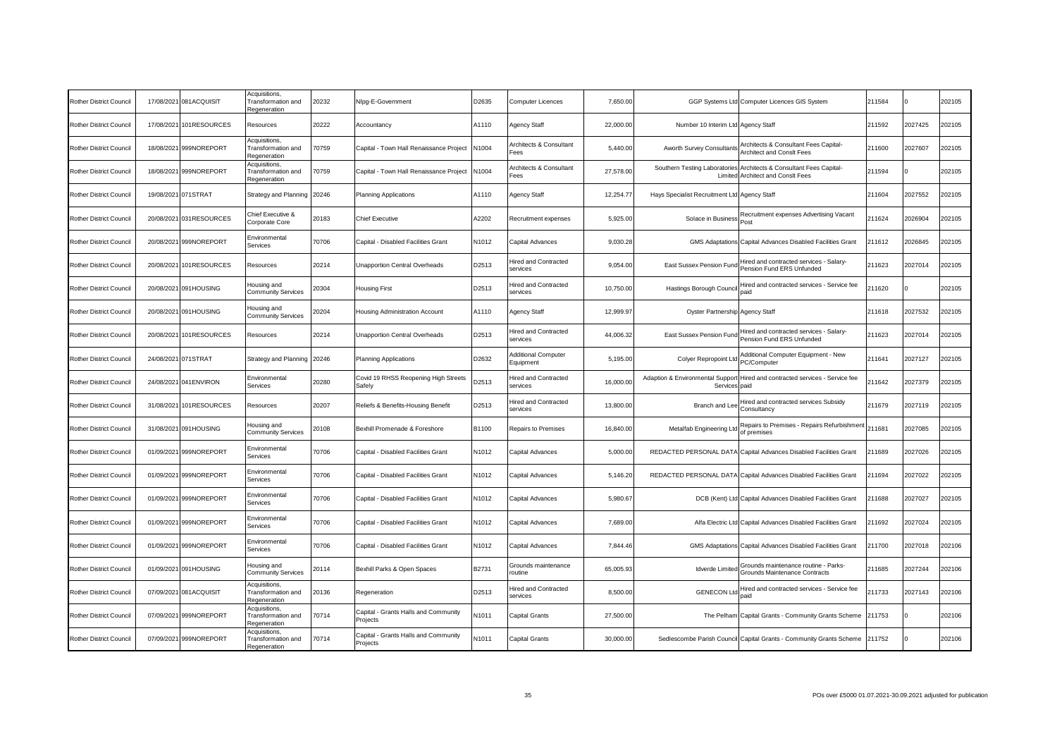| Rother District Council        |            | 17/08/2021 081ACQUISIT  | Acquisitions,<br><b>Transformation and</b><br>Regeneration | 20232 | Nlpg-E-Government                                | D2635 | <b>Computer Licences</b>                   | 7,650.00  |                                                   | GGP Systems Ltd Computer Licences GIS System                                                     | 211584 |         | 202105 |
|--------------------------------|------------|-------------------------|------------------------------------------------------------|-------|--------------------------------------------------|-------|--------------------------------------------|-----------|---------------------------------------------------|--------------------------------------------------------------------------------------------------|--------|---------|--------|
| Rother District Council        | 17/08/2021 | 101RESOURCES            | Resources                                                  | 20222 | Accountancy                                      | A1110 | Agency Staff                               | 22,000.00 | Number 10 Interim Ltd Agency Staff                |                                                                                                  | 211592 | 2027425 | 202105 |
| <b>Rother District Council</b> |            | 18/08/2021 999NOREPORT  | Acquisitions,<br><b>Transformation and</b><br>Regeneration | 70759 | Capital - Town Hall Renaissance Project          | N1004 | <b>Architects &amp; Consultant</b><br>Fees | 5,440.00  | Aworth Survey Consultant                          | Architects & Consultant Fees Capital-<br><b>Architect and Consit Fees</b>                        | 211600 | 2027607 | 202105 |
| <b>Rother District Council</b> |            | 18/08/2021 999NOREPORT  | Acquisitions,<br><b>Transformation</b> and<br>Regeneration | 70759 | Capital - Town Hall Renaissance Project          | N1004 | Architects & Consultant<br>Fees            | 27,578.00 | Limited                                           | Southern Testing Laboratories Architects & Consultant Fees Capital-<br>Architect and Consit Fees | 211594 |         | 202105 |
| Rother District Council        |            | 19/08/2021 071STRAT     | Strategy and Planning                                      | 20246 | <b>Planning Applications</b>                     | A1110 | Agency Staff                               | 12,254.77 | Hays Specialist Recruitment Ltd Agency Staff      |                                                                                                  | 211604 | 2027552 | 202105 |
| Rother District Council        |            | 20/08/2021 031RESOURCES | Chief Executive &<br>Corporate Core                        | 20183 | Chief Executive                                  | 42202 | Recruitment expenses                       | 5,925.00  | Solace in Business                                | Recruitment expenses Advertising Vacant<br>Post                                                  | 211624 | 026904  | 202105 |
| Rother District Council        |            | 20/08/2021 999NOREPORT  | Environmental<br>Services                                  | 70706 | Capital - Disabled Facilities Grant              | N1012 | Capital Advances                           | 9,030.28  |                                                   | GMS Adaptations Capital Advances Disabled Facilities Grant                                       | 211612 | 2026845 | 202105 |
| <b>Rother District Council</b> |            | 20/08/2021 101RESOURCES | Resources                                                  | 20214 | Unapportion Central Overheads                    | D2513 | Hired and Contracted<br>services           | 9,054.00  | East Sussex Pension Fund                          | Hired and contracted services - Salary-<br>Pension Fund ERS Unfunded                             | 211623 | 2027014 | 202105 |
| <b>Rother District Council</b> |            | 20/08/2021 091HOUSING   | Housing and<br><b>Community Services</b>                   | 20304 | <b>Housing First</b>                             | D2513 | <b>Hired and Contracted</b><br>services    | 10.750.00 | Hastings Borough Council                          | Hired and contracted services - Service fee<br>paid                                              | 211620 |         | 202105 |
| <b>Rother District Council</b> |            | 20/08/2021 091HOUSING   | Housing and<br>Community Services                          | 20204 | Housing Administration Account                   | A1110 | Agency Staff                               | 12,999.97 | Oyster Partnership Agency Staff                   |                                                                                                  | 211618 | 2027532 | 202105 |
| Rother District Council        | 20/08/2021 | 101RESOURCES            | Resources                                                  | 20214 | <b>Jnapportion Central Overheads</b>             | D2513 | Hired and Contracted<br>services           | 44,006.32 | East Sussex Pension Fund                          | Hired and contracted services - Salary-<br>Pension Fund ERS Unfunded                             | 211623 | 2027014 | 202105 |
| Rother District Council        |            | 24/08/2021 071STRAT     | Strategy and Planning                                      | 20246 | <b>Planning Applications</b>                     | D2632 | <b>Additional Computer</b><br>Equipment    | 5,195.00  | Colyer Repropoint Lt                              | Additional Computer Equipment - New<br>PC/Computer                                               | 211641 | 2027127 | 202105 |
| Rother District Council        |            | 24/08/2021 041 ENVIRON  | Environmental<br>Services                                  | 20280 | Covid 19 RHSS Reopening High Streets<br>Safely   | D2513 | Hired and Contracted<br>services           | 16,000.00 | Adaption & Environmental Support<br>Services paid | Hired and contracted services - Service fee                                                      | 211642 | 1027379 | 202105 |
| <b>Rother District Council</b> |            | 31/08/2021 101RESOURCES | Resources                                                  | 20207 | Reliefs & Benefits-Housing Benefit               | D2513 | <b>Hired and Contracted</b><br>services    | 13,800.00 | Branch and Ler                                    | Hired and contracted services Subsidy<br>Consultancy                                             | 211679 | 2027119 | 202105 |
| Rother District Council        |            | 31/08/2021 091HOUSING   | lousing and<br><b>Community Services</b>                   | 20108 | Bexhill Promenade & Foreshore                    | B1100 | Repairs to Premises                        | 16,840.00 | Metalfab Engineering Ltd                          | Repairs to Premises - Repairs Refurbishmen<br>of premises                                        | 211681 | 2027085 | 202105 |
| Rother District Council        |            | 01/09/2021 999NOREPORT  | Environmental<br>Services                                  | 70706 | Capital - Disabled Facilities Grant              | N1012 | Capital Advances                           | 5,000.00  |                                                   | REDACTED PERSONAL DATA Capital Advances Disabled Facilities Grant                                | 211689 | 2027026 | 202105 |
| <b>Rother District Council</b> |            | 01/09/2021 999NOREPORT  | Environmental<br>Services                                  | 70706 | Capital - Disabled Facilities Grant              | N1012 | Capital Advances                           | 5,146.20  |                                                   | REDACTED PERSONAL DATA Capital Advances Disabled Facilities Grant                                | 211694 | 2027022 | 202105 |
| <b>Rother District Council</b> |            | 01/09/2021 999NOREPORT  | Environmental<br>Services                                  | 70706 | Capital - Disabled Facilities Grant              | N1012 | Capital Advances                           | 5,980.67  |                                                   | DCB (Kent) Ltd Capital Advances Disabled Facilities Grant                                        | 211688 | 2027027 | 202105 |
| <b>Rother District Council</b> |            | 01/09/2021 999NOREPORT  | Environmental<br>Services                                  | 70706 | Capital - Disabled Facilities Grant              | N1012 | Capital Advances                           | 7,689.00  |                                                   | Alfa Electric Ltd Capital Advances Disabled Facilities Grant                                     | 211692 | 2027024 | 202105 |
| Rother District Council        |            | 01/09/2021 999NOREPORT  | Environmental<br>Services                                  | 70706 | Capital - Disabled Facilities Grant              | N1012 | Capital Advances                           | 7,844.46  |                                                   | GMS Adaptations Capital Advances Disabled Facilities Grant                                       | 211700 | 2027018 | 202106 |
| <b>Rother District Council</b> |            | 01/09/2021 091HOUSING   | lousing and<br><b>Community Services</b>                   | 20114 | Bexhill Parks & Open Spaces                      | B2731 | Grounds maintenance<br>outine'             | 65,005.93 | Idverde Limite                                    | Grounds maintenance routine - Parks-<br>Grounds Maintenance Contracts                            | 211685 | 2027244 | 202106 |
| Rother District Council        |            | 07/09/2021 081ACQUISIT  | Acquisitions,<br><b>Transformation and</b><br>Regeneration | 20136 | Regeneration                                     | D2513 | Hired and Contracted<br>services           | 8,500.00  | <b>GENECON Lt</b>                                 | Hired and contracted services - Service fee<br>paid                                              | 211733 | 2027143 | 202106 |
| <b>Rother District Council</b> |            | 07/09/2021 999NOREPORT  | Acquisitions,<br>Transformation and<br><b>Regeneration</b> | 70714 | Capital - Grants Halls and Community<br>Projects | N1011 | Capital Grants                             | 27,500.00 |                                                   | The Pelham Capital Grants - Community Grants Scheme                                              | 211753 |         | 202106 |
| Rother District Council        |            | 07/09/2021 999NOREPORT  | Acquisitions,<br>Transformation and<br>Regeneration        | 70714 | Capital - Grants Halls and Community<br>Projects | N1011 | Capital Grants                             | 30,000.00 |                                                   | Sedlescombe Parish Council Capital Grants - Community Grants Scheme                              | 211752 |         | 202106 |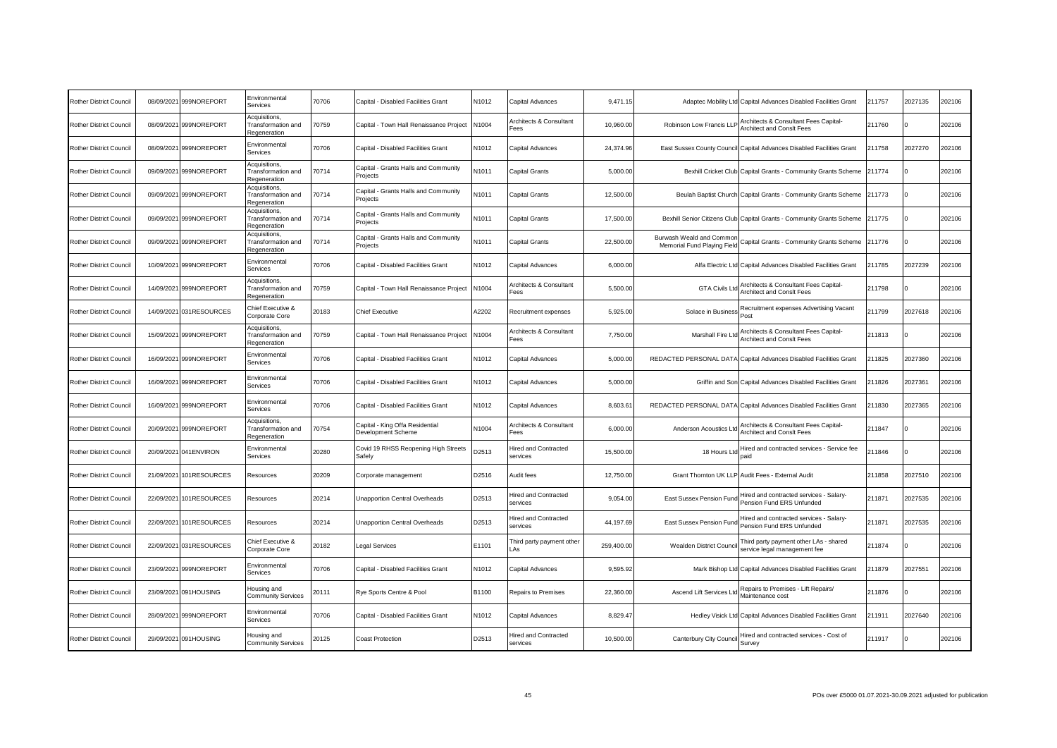| Rother District Council        |            | 08/09/2021 999NOREPORT  | Environmental<br>Services                           | 70706 | Capital - Disabled Facilities Grant                   | N1012        | Capital Advances                          | 9,471.15   |                                                         | Adaptec Mobility Ltd Capital Advances Disabled Facilities Grant        | 211757 | 2027135 | 202106 |
|--------------------------------|------------|-------------------------|-----------------------------------------------------|-------|-------------------------------------------------------|--------------|-------------------------------------------|------------|---------------------------------------------------------|------------------------------------------------------------------------|--------|---------|--------|
| <b>Rother District Council</b> |            | 08/09/2021 999NOREPORT  | Acquisitions,<br>Transformation and<br>Regeneration | 70759 | Capital - Town Hall Renaissance Project               | N1004        | Architects & Consultant<br>Fees           | 10,960.00  | Robinson Low Francis LLP                                | Architects & Consultant Fees Capital-<br>Architect and Consit Fees     | 211760 |         | 202106 |
| <b>Rother District Council</b> |            | 08/09/2021 999NOREPORT  | Environmental<br>Services                           | 70706 | Capital - Disabled Facilities Grant                   | N1012        | Capital Advances                          | 24,374.96  |                                                         | East Sussex County Council Capital Advances Disabled Facilities Grant  | 211758 | 2027270 | 202106 |
| <b>Rother District Council</b> |            | 09/09/2021 999NOREPORT  | Acquisitions,<br>Fransformation and<br>Regeneration | 70714 | Capital - Grants Halls and Community<br>Projects      | N1011        | Capital Grants                            | 5,000.00   |                                                         | Bexhill Cricket Club Capital Grants - Community Grants Scheme          | 211774 |         | 202106 |
| <b>Rother District Council</b> |            | 09/09/2021 999NOREPORT  | Acquisitions,<br>Transformation and<br>Regeneration | 70714 | Capital - Grants Halls and Community<br>Projects      | <b>V1011</b> | <b>Capital Grants</b>                     | 12,500.00  |                                                         | Beulah Baptist Church Capital Grants - Community Grants Scheme         | 211773 |         | 202106 |
| <b>Rother District Council</b> |            | 09/09/2021 999NOREPORT  | Acquisitions,<br>Transformation and<br>Regeneration | 70714 | Capital - Grants Halls and Community<br>Projects      | N1011        | Capital Grants                            | 17,500.00  |                                                         | Bexhill Senior Citizens Club Capital Grants - Community Grants Scheme  | 211775 |         | 202106 |
| <b>Rother District Council</b> |            | 09/09/2021 999NOREPORT  | Acquisitions,<br>Fransformation and<br>Regeneration | 70714 | Capital - Grants Halls and Community<br>Projects      | N1011        | Capital Grants                            | 22,500.00  | Burwash Weald and Commor<br>Memorial Fund Playing Field | Capital Grants - Community Grants Scheme                               | 211776 |         | 202106 |
| <b>Rother District Council</b> |            | 10/09/2021 999NOREPORT  | Environmental<br>Services                           | 70706 | Capital - Disabled Facilities Grant                   | N1012        | Capital Advances                          | 6,000.00   |                                                         | Alfa Electric Ltd Capital Advances Disabled Facilities Grant           | 211785 | 2027239 | 202106 |
| <b>Rother District Council</b> |            | 14/09/2021 999NOREPORT  | Acquisitions,<br>Fransformation and<br>Regeneration | 70759 | Capital - Town Hall Renaissance Project               | N1004        | Architects & Consultant<br>Fees           | 5,500.00   | <b>GTA Civils Ltd</b>                                   | Architects & Consultant Fees Capital-<br>Architect and Conslt Fees     | 211798 |         | 202106 |
| <b>Rother District Council</b> |            | 14/09/2021 031RESOURCES | Chief Executive &<br>Corporate Core                 | 20183 | <b>Chief Executive</b>                                | A2202        | Recruitment expenses                      | 5,925.00   | Solace in Business                                      | Recruitment expenses Advertising Vacant<br>Post                        | 211799 | 2027618 | 202106 |
| Rother District Council        |            | 15/09/2021 999NOREPORT  | Acquisitions,<br>Fransformation and<br>Regeneration | 70759 | Capital - Town Hall Renaissance Project               | N1004        | <b>Architects &amp; Consultant</b><br>ees | 7,750.00   | Marshall Fire Lt                                        | Architects & Consultant Fees Capital-<br>Architect and Conslt Fees     | 211813 |         | 202106 |
| <b>Rother District Council</b> |            | 16/09/2021 999NOREPORT  | Environmental<br>Services                           | 70706 | Capital - Disabled Facilities Grant                   | N1012        | Capital Advances                          | 5,000.00   | REDACTED PERSONAL DATA                                  | Capital Advances Disabled Facilities Grant                             | 211825 | 2027360 | 202106 |
| Rother District Council        |            | 16/09/2021 999NOREPORT  | Environmental<br>Services                           | 70706 | Capital - Disabled Facilities Grant                   | N1012        | Capital Advances                          | 5,000.00   | Griffin and Son                                         | Capital Advances Disabled Facilities Grant                             | 211826 | 2027361 | 202106 |
| Rother District Council        |            | 16/09/2021 999NOREPORT  | Environmental<br>Services                           | 70706 | Capital - Disabled Facilities Grant                   | N1012        | Capital Advances                          | 8,603.61   |                                                         | REDACTED PERSONAL DATA Capital Advances Disabled Facilities Grant      | 211830 | 2027365 | 202106 |
| Rother District Council        |            | 20/09/2021 999NOREPORT  | Acquisitions,<br>Transformation and<br>Regeneration | 70754 | Capital - King Offa Residential<br>Development Scheme | N1004        | Architects & Consultant<br>Fees           | 6,000.00   | Anderson Acoustics Ltd                                  | Architects & Consultant Fees Capital-<br>Architect and Conslt Fees     | 211847 |         | 202106 |
| Rother District Council        |            | 20/09/2021 041 ENVIRON  | Environmental<br>Services                           | 20280 | Covid 19 RHSS Reopening High Streets<br>Safely        | D2513        | Hired and Contracted<br>services          | 15,500.00  | 18 Hours Ltd                                            | Hired and contracted services - Service fee<br>paid                    | 211846 |         | 202106 |
| <b>Rother District Council</b> |            | 21/09/2021 101RESOURCES | Resources                                           | 20209 | Corporate management                                  | D2516        | Audit fees                                | 12,750.00  | Grant Thornton UK LLP                                   | Audit Fees - External Audit                                            | 211858 | 2027510 | 202106 |
| <b>Rother District Council</b> |            | 22/09/2021 101RESOURCES | Resources                                           | 20214 | <b>Unapportion Central Overheads</b>                  | D2513        | Hired and Contracted<br>services          | 9,054.00   | East Sussex Pension Fund                                | lired and contracted services - Salary-<br>Pension Fund ERS Unfunded   | 211871 | 2027535 | 202106 |
| <b>Rother District Council</b> | 22/09/2021 | 101RESOURCES            | Resources                                           | 20214 | <b>Unapportion Central Overheads</b>                  | D2513        | Hired and Contracted<br>services          | 44,197.69  | East Sussex Pension Fund                                | lired and contracted services - Salary-<br>Pension Fund ERS Unfunded   | 211871 | 2027535 | 202106 |
| Rother District Council        |            | 22/09/2021 031RESOURCES | Chief Executive &<br>Corporate Core                 | 20182 | Legal Services                                        | E1101        | Third party payment other<br>LAs          | 259,400.00 | Wealden District Council                                | Third party payment other LAs - shared<br>service legal management fee | 211874 |         | 202106 |
| Rother District Council        | 23/09/2021 | 999NOREPORT             | Environmental<br>Services                           | 70706 | Capital - Disabled Facilities Grant                   | N1012        | Capital Advances                          | 9,595.92   |                                                         | Mark Bishop Ltd Capital Advances Disabled Facilities Grant             | 211879 | 2027551 | 202106 |
| <b>Rother District Council</b> |            | 23/09/2021 091HOUSING   | Housing and<br>Community Services                   | 20111 | Rye Sports Centre & Pool                              | B1100        | Repairs to Premises                       | 22,360.00  | Ascend Lift Services Lt                                 | Repairs to Premises - Lift Repairs/<br>Maintenance cost                | 211876 |         | 202106 |
| <b>Rother District Council</b> |            | 28/09/2021 999NOREPORT  | Environmental<br>Services                           | 70706 | Capital - Disabled Facilities Grant                   | N1012        | Capital Advances                          | 8,829.47   |                                                         | Hedley Visick Ltd Capital Advances Disabled Facilities Grant           | 211911 | 2027640 | 202106 |
| <b>Rother District Council</b> |            | 29/09/2021 091HOUSING   | Housing and<br>Community Services                   | 20125 | <b>Coast Protection</b>                               | D2513        | Hired and Contracted<br>services          | 10,500.00  | Canterbury City Council                                 | lired and contracted services - Cost of<br>Survey                      | 211917 |         | 202106 |